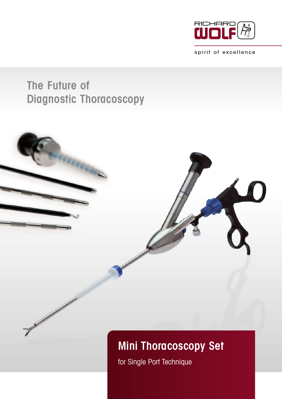

spirit of excellence

## The Future of Diagnostic Thoracoscopy



for Single Port Technique